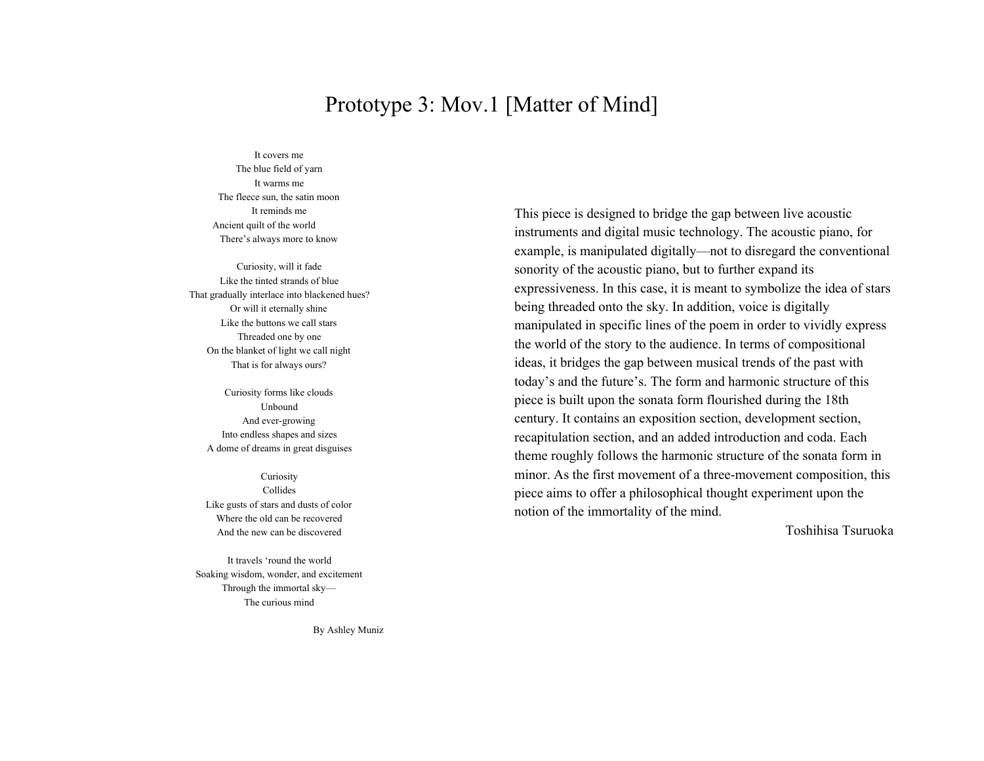# Prototype 3: Mov.1 [Matter of Mind]

It covers me The blue field of yarn It warms me The fleece sun, the satin moon It reminds me Ancient quilt of the world There's always more to know

Curiosity, will it fade Like the tinted strands of blue That gradually interlace into blackened hues? Or will it eternally shine Like the buttons we call stars Threaded one by one On the blanket of light we call night That is for always ours?

Curiosity forms like clouds Unbound And ever-growing Into endless shapes and sizes A dome of dreams in great disguises

Curiosity Collides Like gusts of stars and dusts of color Where the old can be recovered And the new can be discovered

It travels 'round the world Soaking wisdom, wonder, and excitement Through the immortal sky— The curious mind

By Ashley Muniz

This piece is designed to bridge the gap between live acoustic instruments and digital music technology. The acoustic piano, for example, is manipulated digitally—not to disregard the conventional sonority of the acoustic piano, but to further expand its expressiveness. In this case, it is meant to symbolize the idea of stars being threaded onto the sky. In addition, voice is digitally manipulated in specific lines of the poem in order to vividly express the world of the story to the audience. In terms of compositional ideas, it bridges the gap between musical trends of the past with today's and the future's. The form and harmonic structure of this piece is built upon the sonata form flourished during the 18th century. It contains an exposition section, development section, recapitulation section, and an added introduction and coda. Each theme roughly follows the harmonic structure of the sonata form in minor. As the first movement of a three-movement composition, this piece aims to offer a philosophical thought experiment upon the notion of the immortality of the mind.

Toshihisa Tsuruoka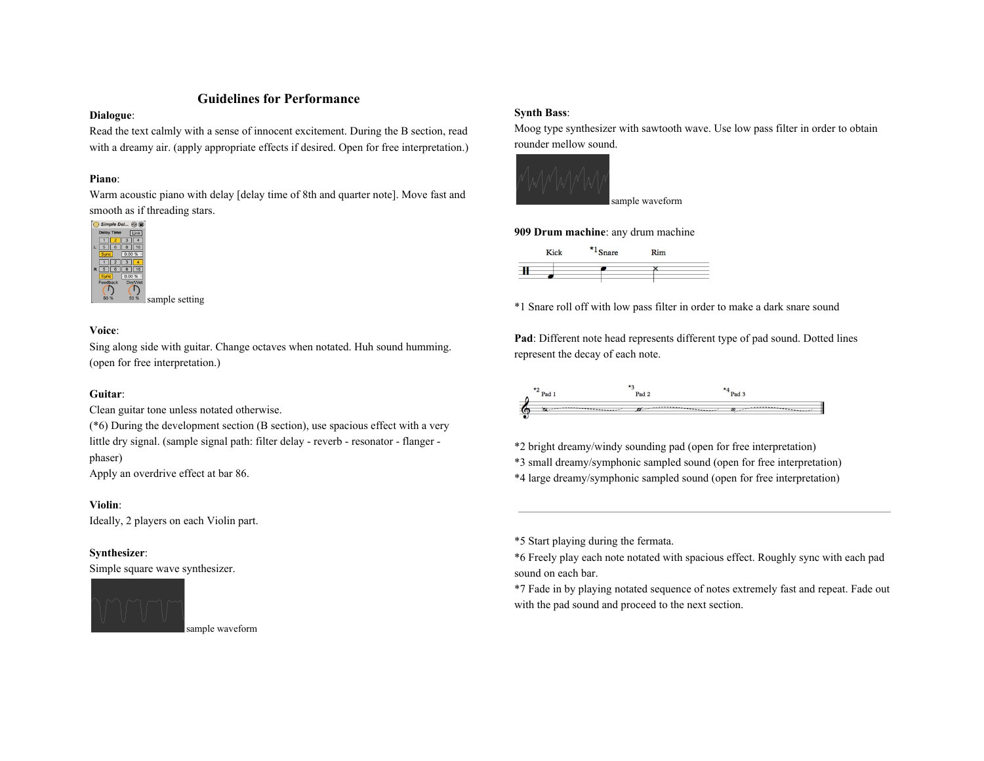## **Guidelines for Performance**

#### **Dialogue**:

Read the text calmly with a sense of innocent excitement. During the B section, read with a dreamy air. (apply appropriate effects if desired. Open for free interpretation.)

#### **Piano**:

Warm acoustic piano with delay [delay time of 8th and quarter note]. Move fast and smooth as if threading stars.



### **Voice**:

Sing along side with guitar. Change octaves when notated. Huh sound humming. (open for free interpretation.)

### **Guitar**:

Clean guitar tone unless notated otherwise.

(\*6) During the development section (B section), use spacious effect with a very little dry signal. (sample signal path: filter delay - reverb - resonator - flanger phaser)

Apply an overdrive effect at bar 86.

### **Violin**:

Ideally, 2 players on each Violin part.

### **Synthesizer**:

Simple square wave synthesizer.



#### **Synth Bass**:

Moog type synthesizer with sawtooth wave. Use low pass filter in order to obtain rounder mellow sound.



**909 Drum machine**: any drum machine



\*1 Snare roll off with low pass filter in order to make a dark snare sound

**Pad**: Different note head represents different type of pad sound. Dotted lines represent the decay of each note.



\*2 bright dreamy/windy sounding pad (open for free interpretation) \*3 small dreamy/symphonic sampled sound (open for free interpretation) \*4 large dreamy/symphonic sampled sound (open for free interpretation)

\*5 Start playing during the fermata.

\*6 Freely play each note notated with spacious effect. Roughly sync with each pad sound on each bar.

\*7 Fade in by playing notated sequence of notes extremely fast and repeat. Fade out with the pad sound and proceed to the next section.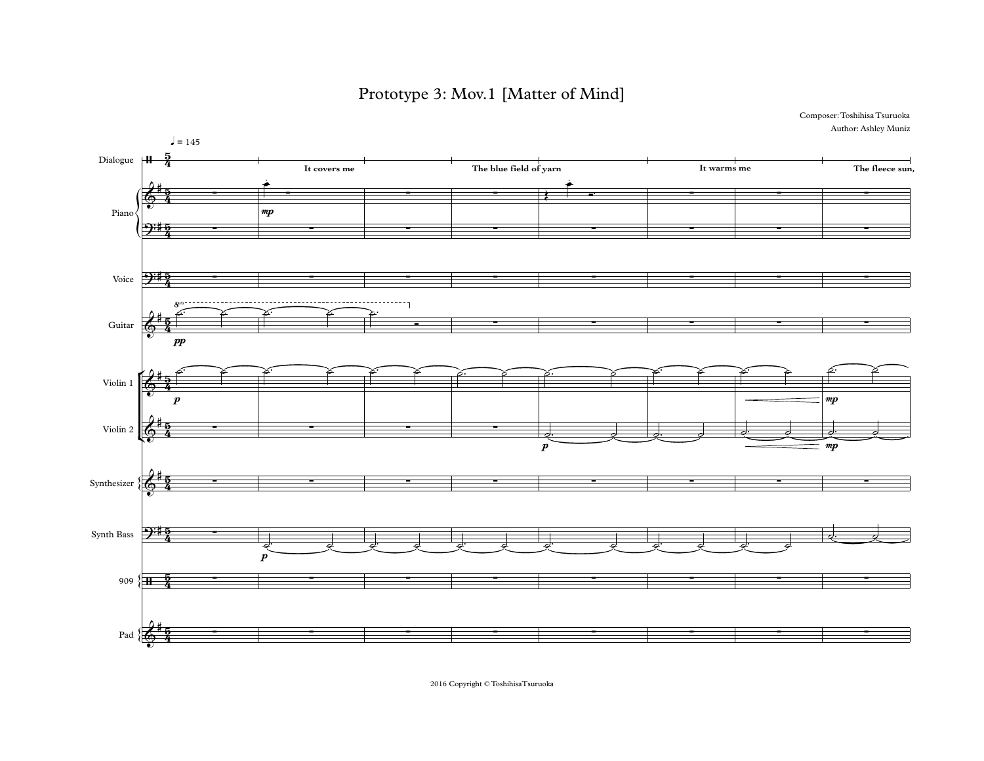Prototype 3: Mov.1 [Matter of Mind]





2016 Copyright © ToshihisaTsuruoka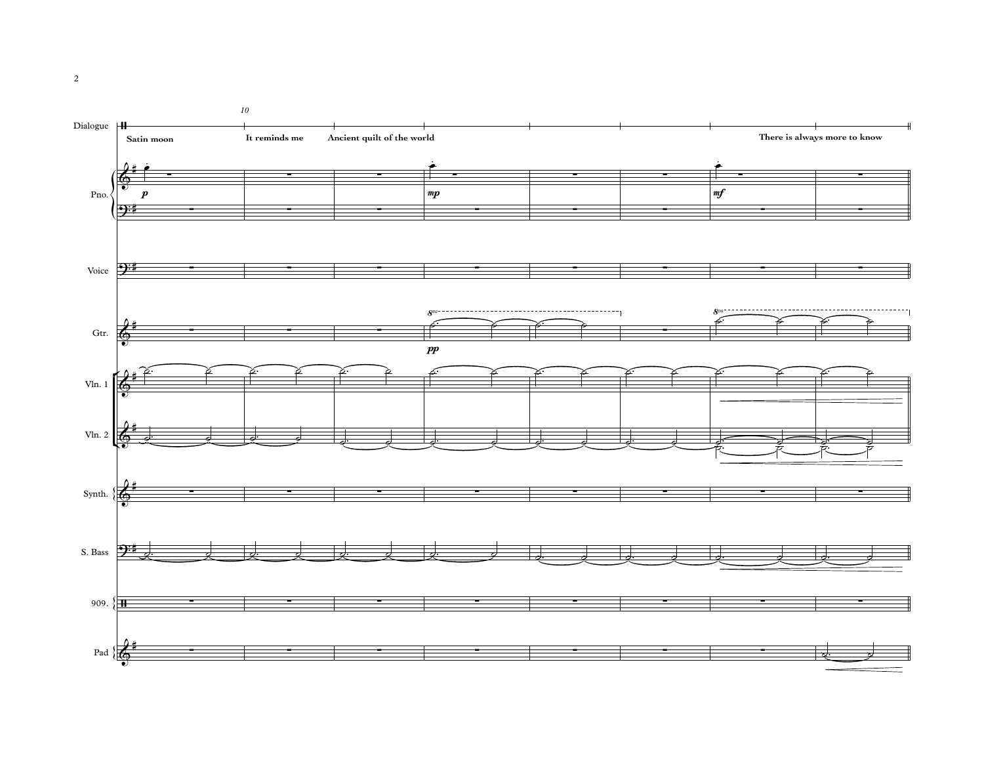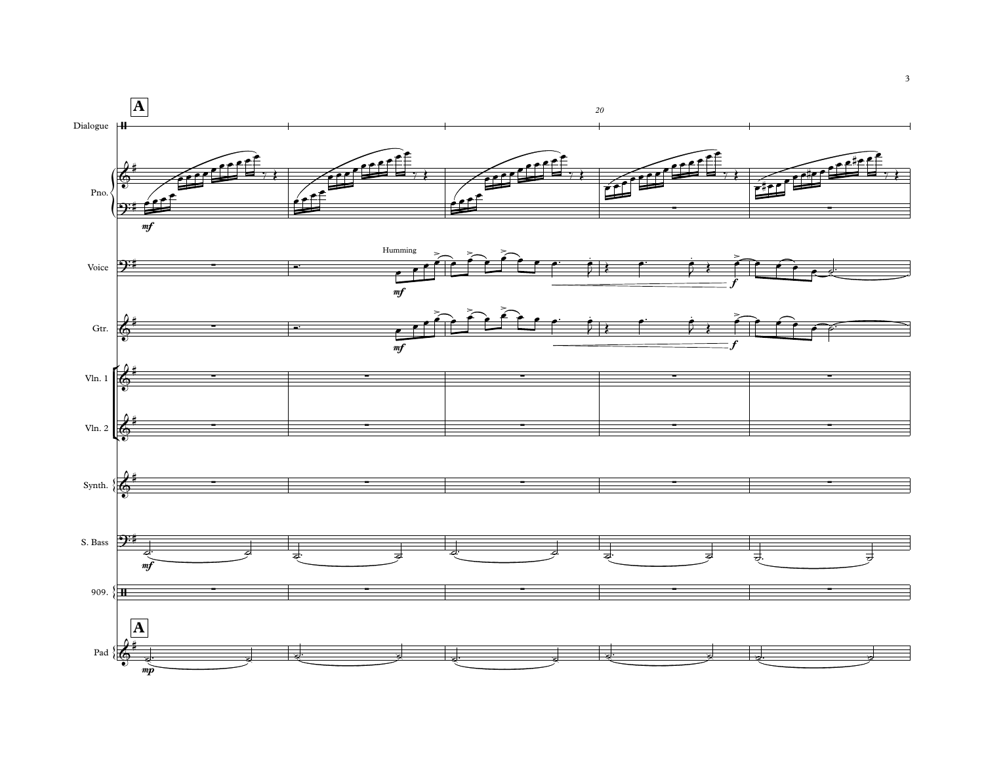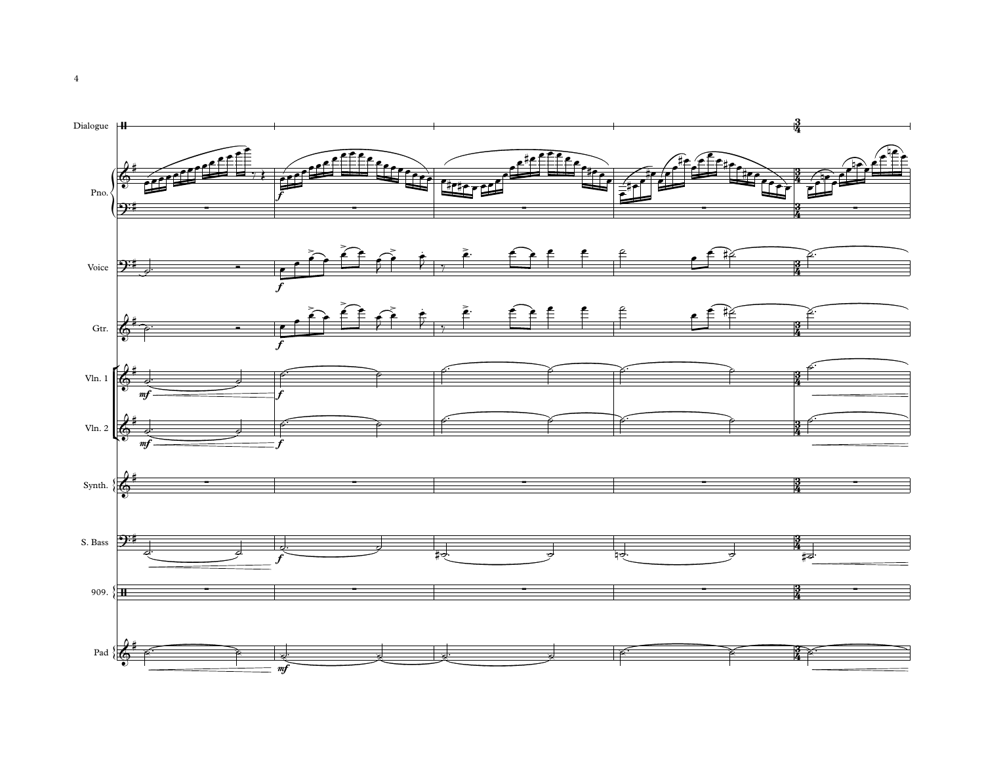

 $\overline{4}$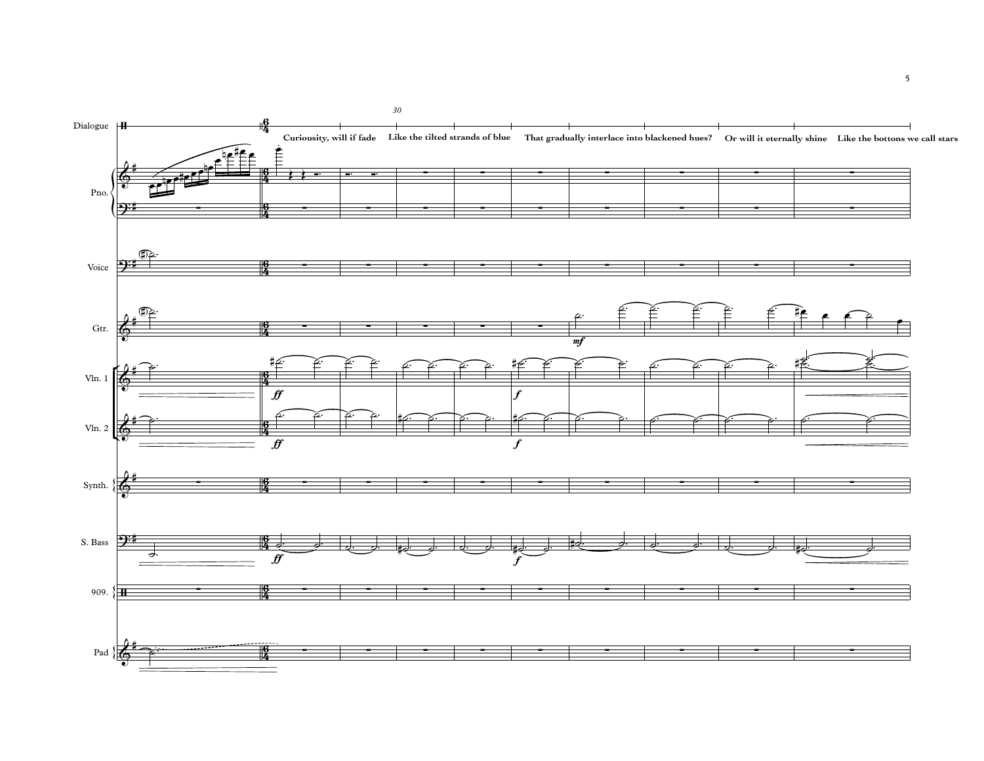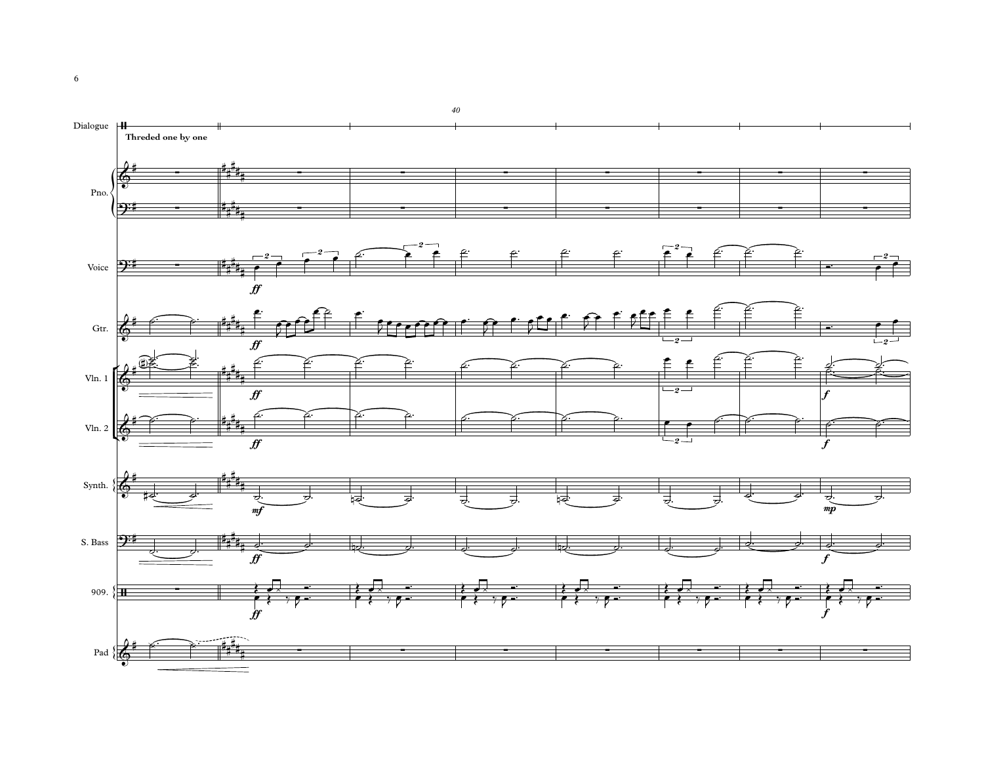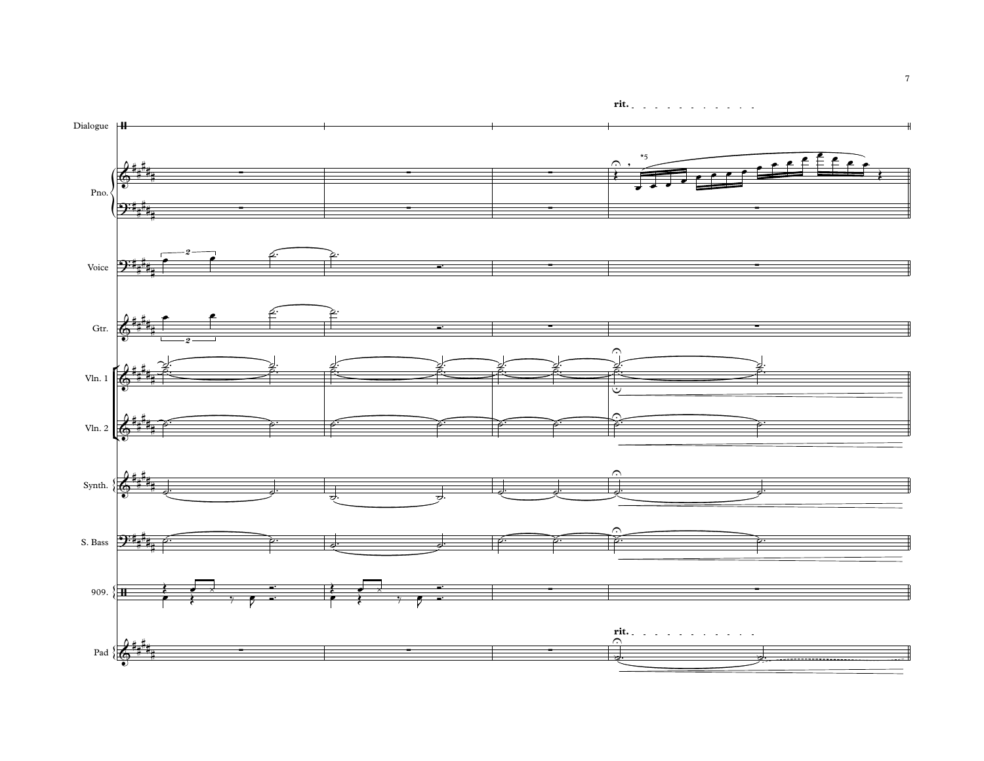rit. . . . and a series and ٠.

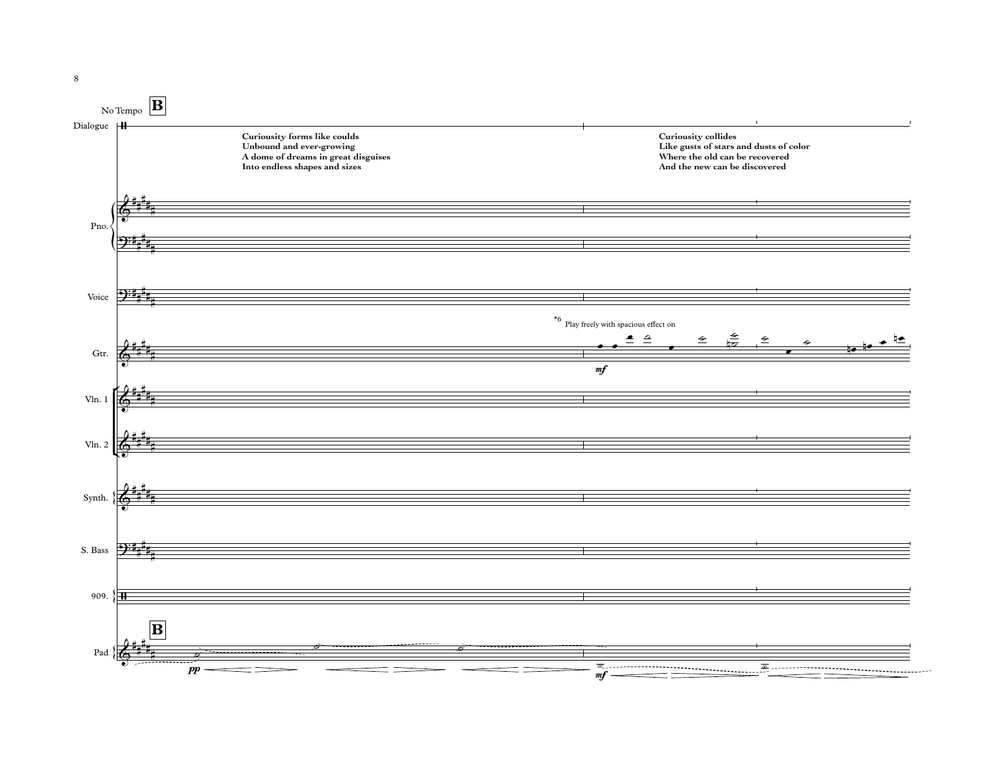

 $\,8\,$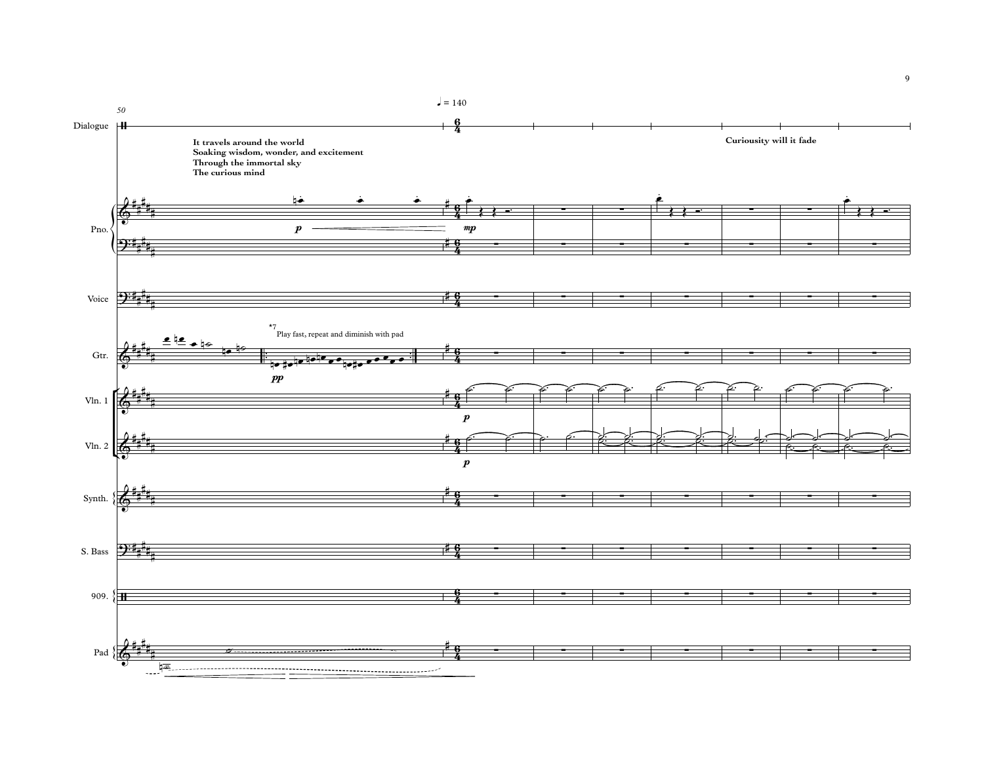

 $\overline{9}$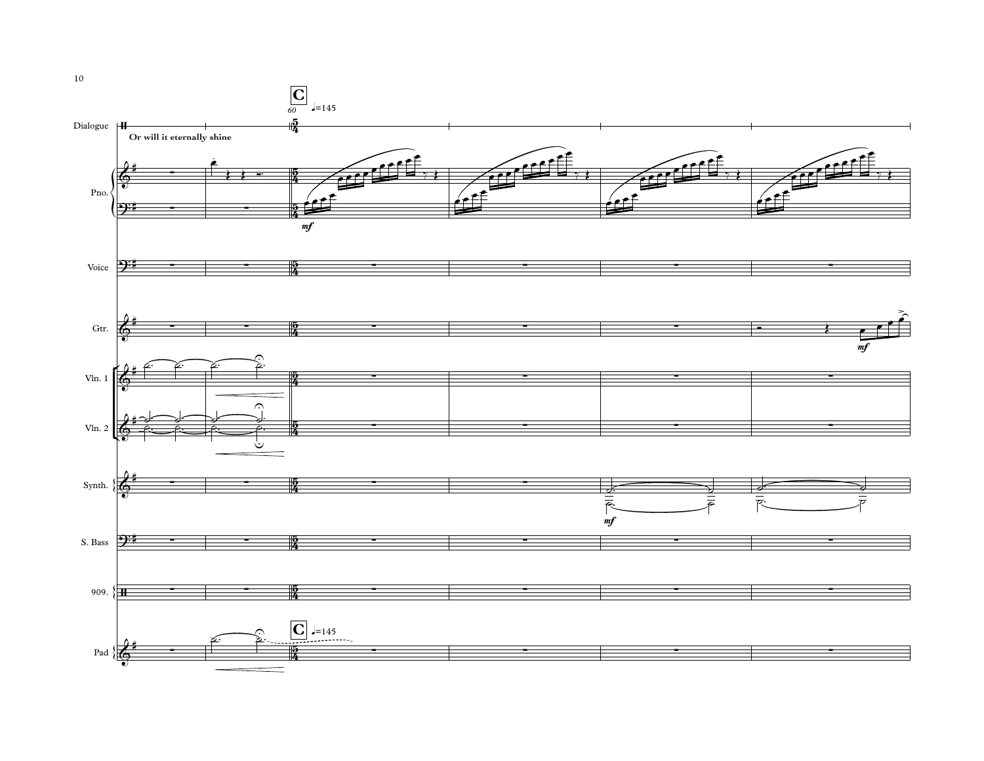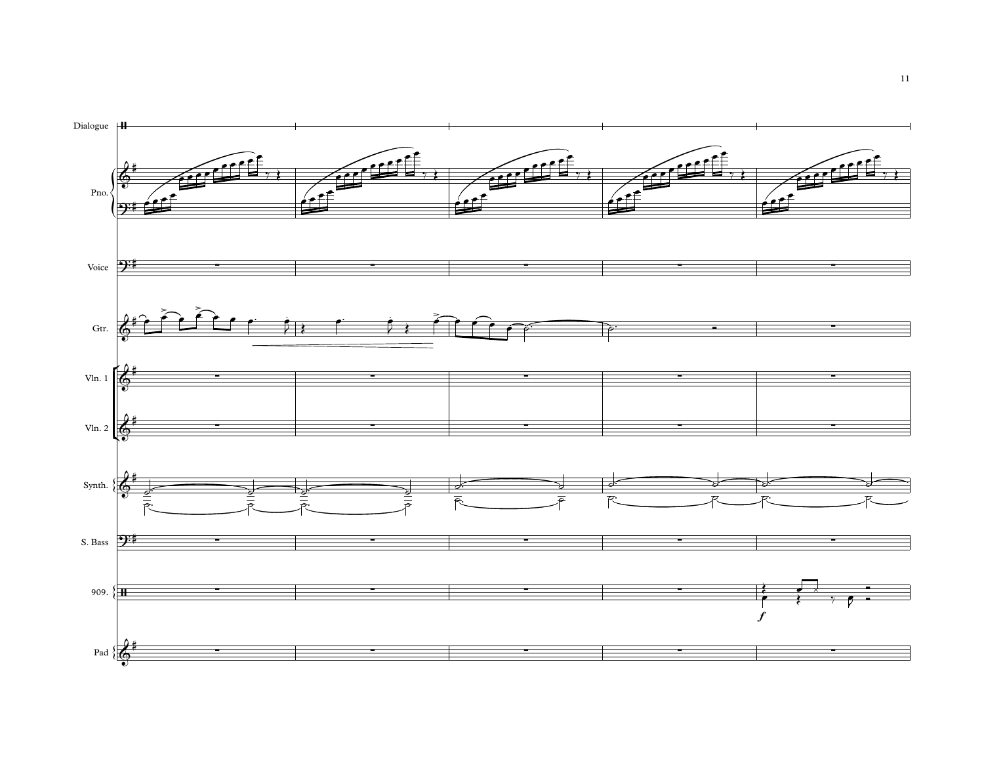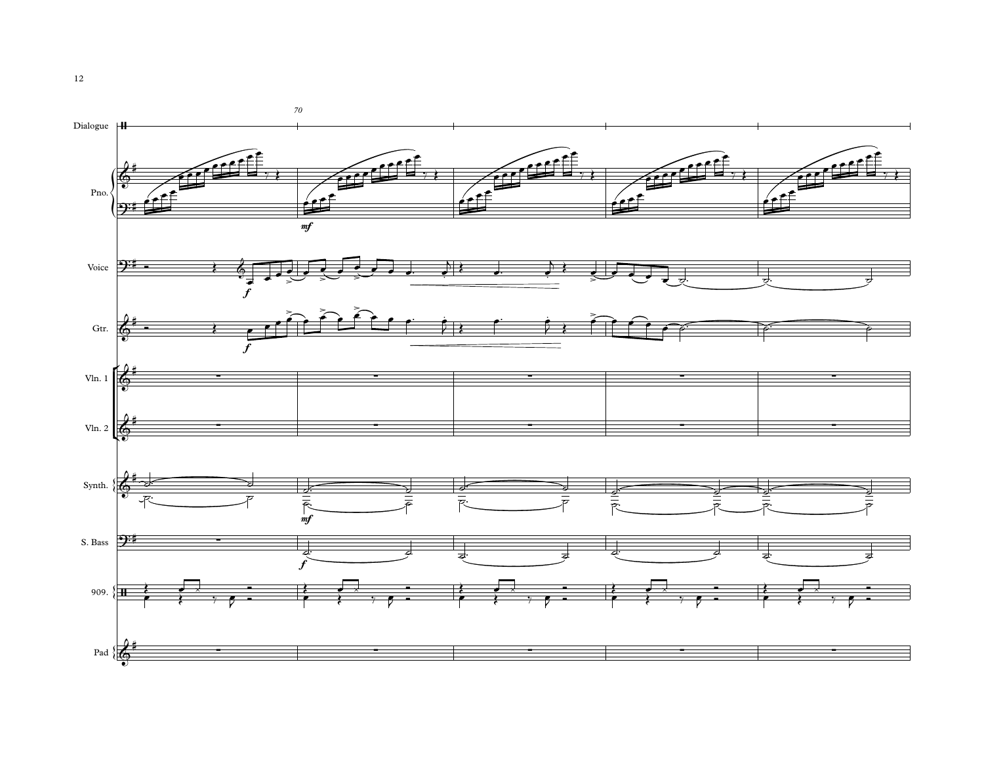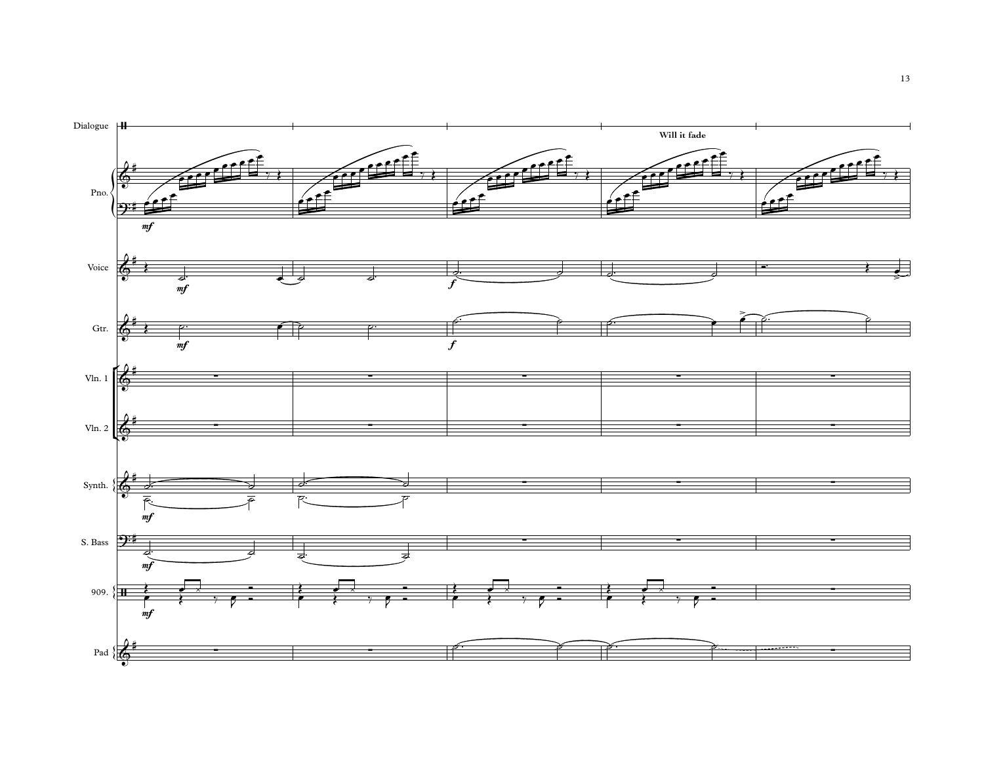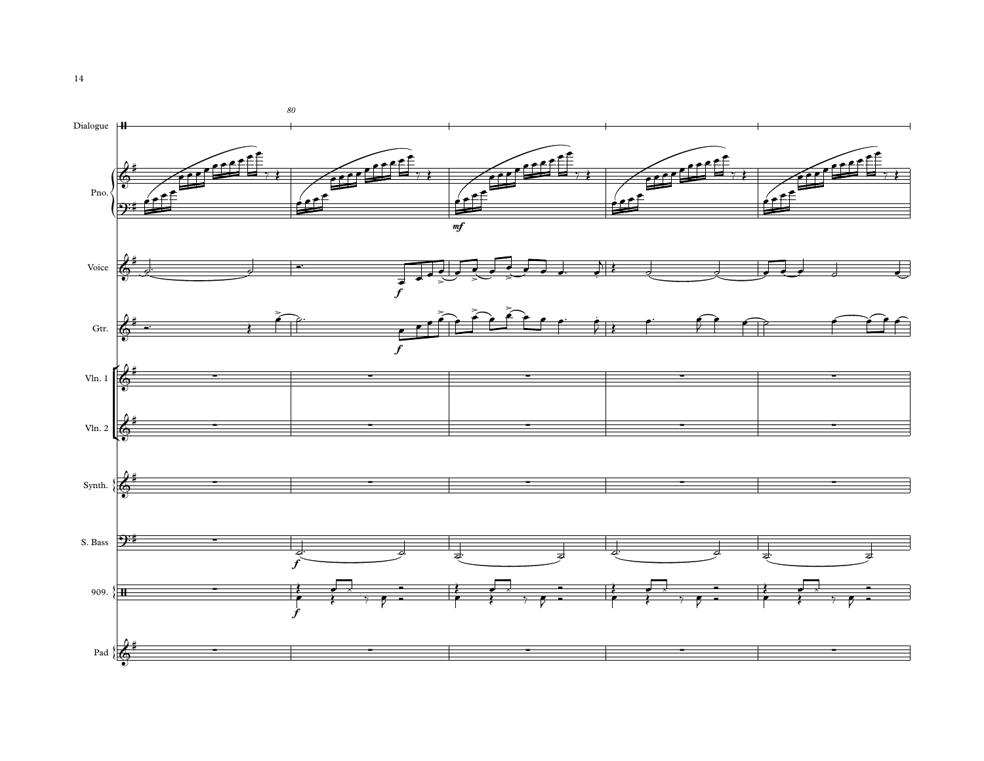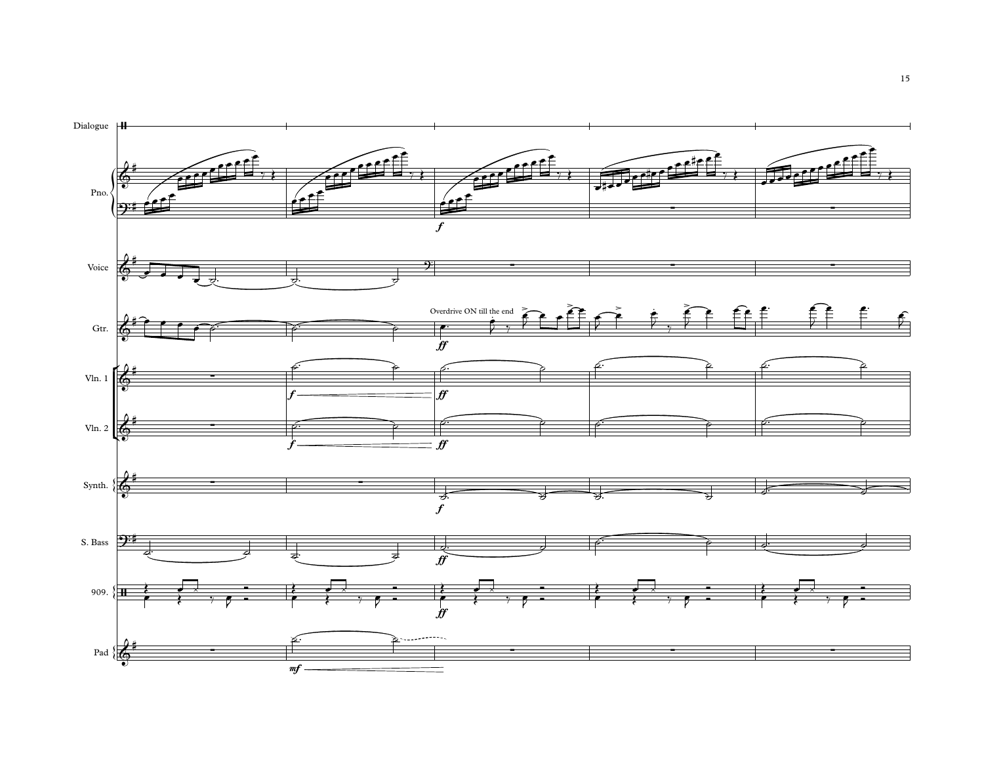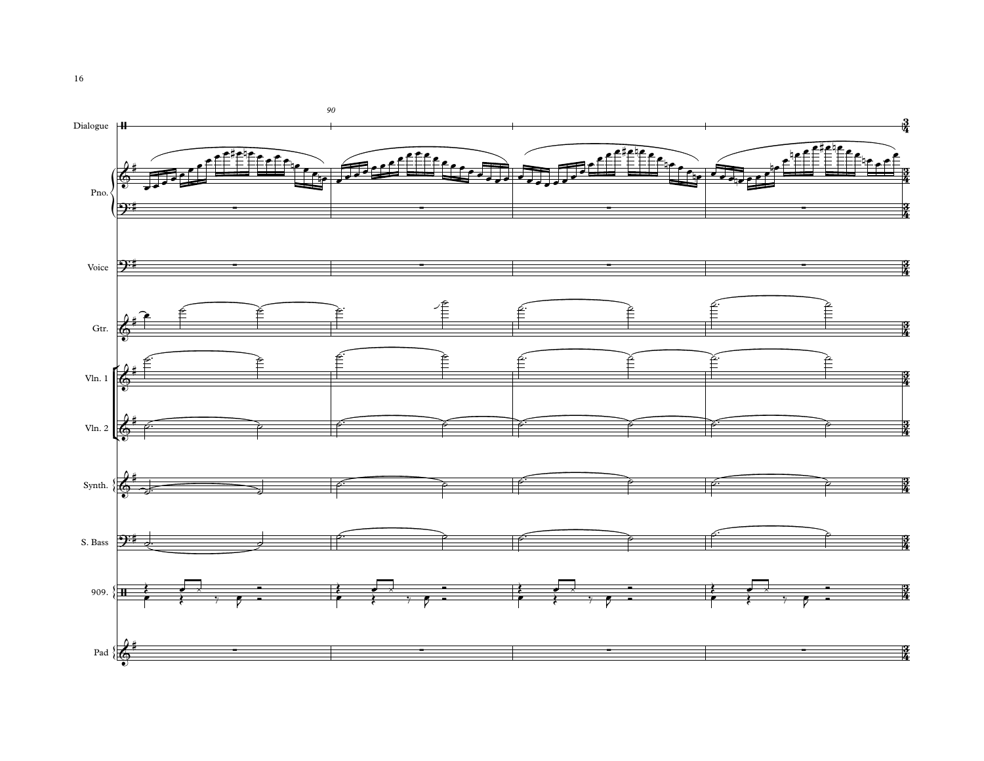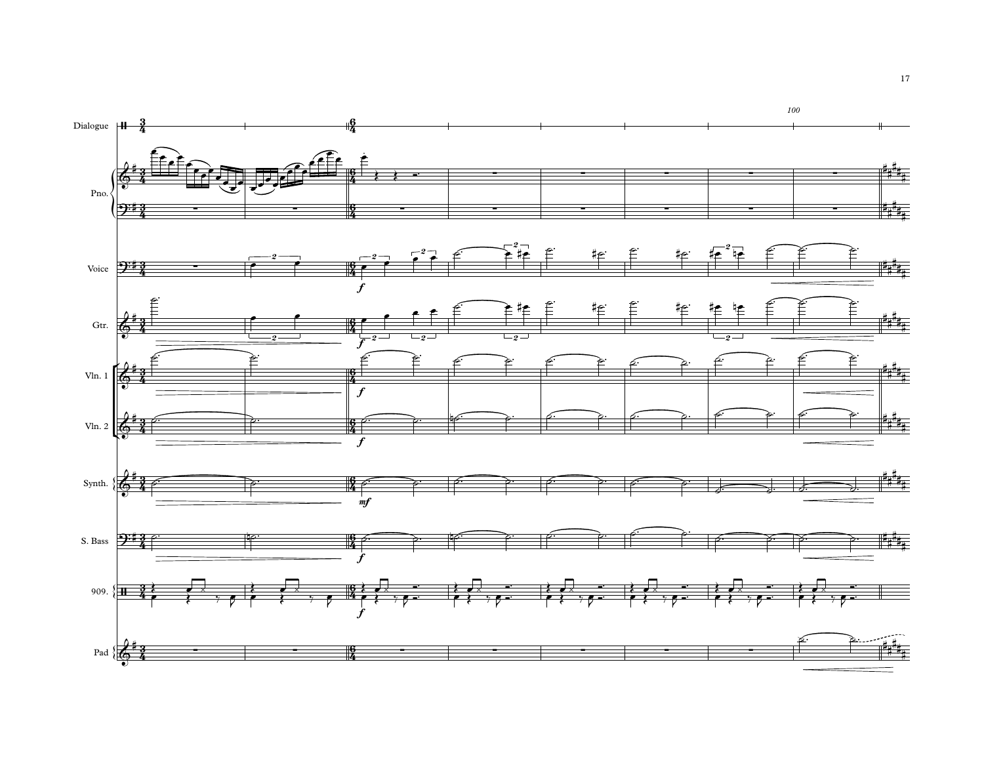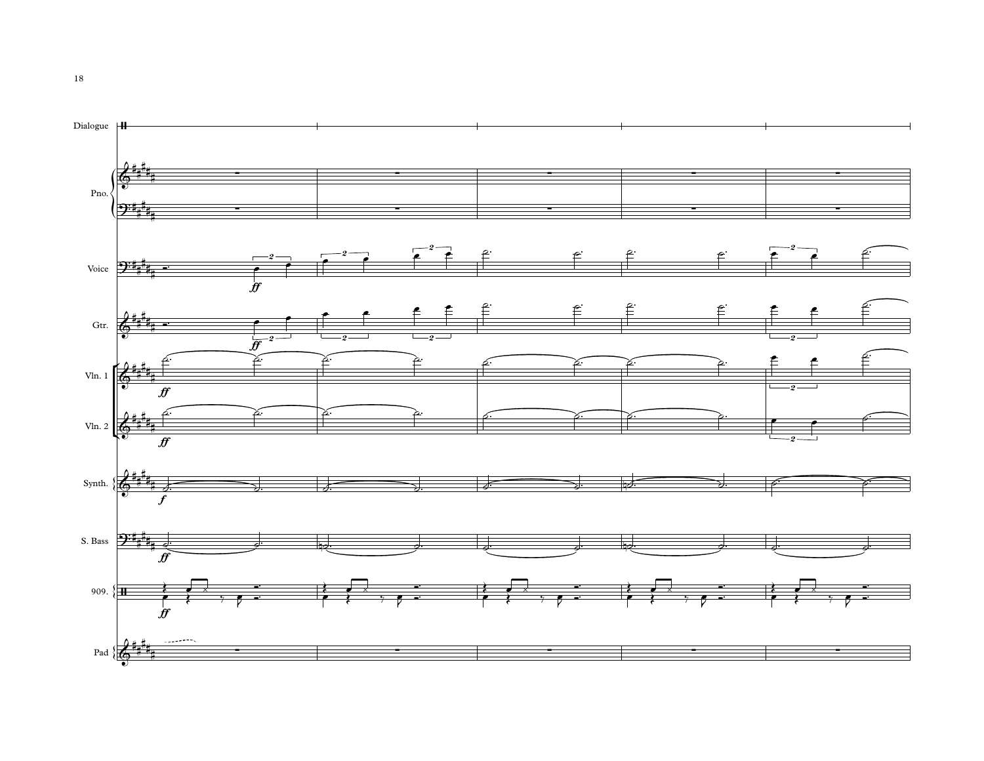